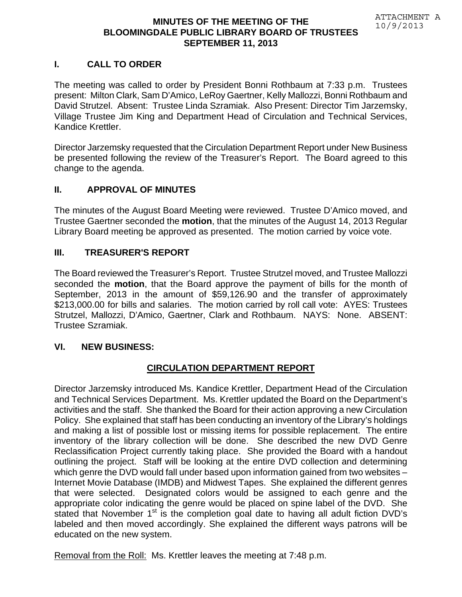#### **MINUTES OF THE MEETING OF THE BLOOMINGDALE PUBLIC LIBRARY BOARD OF TRUSTEES SEPTEMBER 11, 2013**

### **I. CALL TO ORDER**

The meeting was called to order by President Bonni Rothbaum at 7:33 p.m. Trustees present: Milton Clark, Sam D'Amico, LeRoy Gaertner, Kelly Mallozzi, Bonni Rothbaum and David Strutzel. Absent: Trustee Linda Szramiak. Also Present: Director Tim Jarzemsky, Village Trustee Jim King and Department Head of Circulation and Technical Services, Kandice Krettler.

Director Jarzemsky requested that the Circulation Department Report under New Business be presented following the review of the Treasurer's Report. The Board agreed to this change to the agenda.

### **II. APPROVAL OF MINUTES**

The minutes of the August Board Meeting were reviewed. Trustee D'Amico moved, and Trustee Gaertner seconded the **motion**, that the minutes of the August 14, 2013 Regular Library Board meeting be approved as presented. The motion carried by voice vote.

#### **III. TREASURER'S REPORT**

The Board reviewed the Treasurer's Report. Trustee Strutzel moved, and Trustee Mallozzi seconded the **motion**, that the Board approve the payment of bills for the month of September, 2013 in the amount of \$59,126.90 and the transfer of approximately \$213,000.00 for bills and salaries. The motion carried by roll call vote: AYES: Trustees Strutzel, Mallozzi, D'Amico, Gaertner, Clark and Rothbaum. NAYS: None. ABSENT: Trustee Szramiak.

#### **VI. NEW BUSINESS:**

## **CIRCULATION DEPARTMENT REPORT**

Director Jarzemsky introduced Ms. Kandice Krettler, Department Head of the Circulation and Technical Services Department. Ms. Krettler updated the Board on the Department's activities and the staff. She thanked the Board for their action approving a new Circulation Policy. She explained that staff has been conducting an inventory of the Library's holdings and making a list of possible lost or missing items for possible replacement. The entire inventory of the library collection will be done. She described the new DVD Genre Reclassification Project currently taking place. She provided the Board with a handout outlining the project. Staff will be looking at the entire DVD collection and determining which genre the DVD would fall under based upon information gained from two websites – Internet Movie Database (IMDB) and Midwest Tapes. She explained the different genres that were selected. Designated colors would be assigned to each genre and the appropriate color indicating the genre would be placed on spine label of the DVD. She stated that November 1<sup>st</sup> is the completion goal date to having all adult fiction DVD's labeled and then moved accordingly. She explained the different ways patrons will be educated on the new system.

Removal from the Roll: Ms. Krettler leaves the meeting at 7:48 p.m.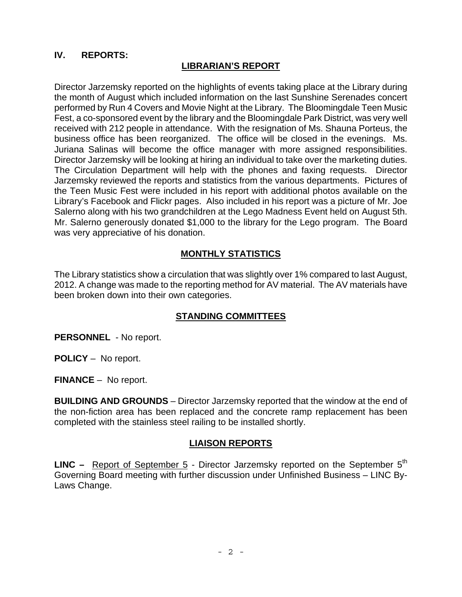## **IV. REPORTS:**

### **LIBRARIAN'S REPORT**

Director Jarzemsky reported on the highlights of events taking place at the Library during the month of August which included information on the last Sunshine Serenades concert performed by Run 4 Covers and Movie Night at the Library. The Bloomingdale Teen Music Fest, a co-sponsored event by the library and the Bloomingdale Park District, was very well received with 212 people in attendance. With the resignation of Ms. Shauna Porteus, the business office has been reorganized. The office will be closed in the evenings. Ms. Juriana Salinas will become the office manager with more assigned responsibilities. Director Jarzemsky will be looking at hiring an individual to take over the marketing duties. The Circulation Department will help with the phones and faxing requests. Director Jarzemsky reviewed the reports and statistics from the various departments. Pictures of the Teen Music Fest were included in his report with additional photos available on the Library's Facebook and Flickr pages. Also included in his report was a picture of Mr. Joe Salerno along with his two grandchildren at the Lego Madness Event held on August 5th. Mr. Salerno generously donated \$1,000 to the library for the Lego program. The Board was very appreciative of his donation.

### **MONTHLY STATISTICS**

The Library statistics show a circulation that was slightly over 1% compared to last August, 2012. A change was made to the reporting method for AV material. The AV materials have been broken down into their own categories.

## **STANDING COMMITTEES**

**PERSONNEL** - No report.

**POLICY** – No report.

**FINANCE** – No report.

**BUILDING AND GROUNDS** – Director Jarzemsky reported that the window at the end of the non-fiction area has been replaced and the concrete ramp replacement has been completed with the stainless steel railing to be installed shortly.

#### **LIAISON REPORTS**

**LINC –** Report of September 5 - Director Jarzemsky reported on the September 5<sup>th</sup> Governing Board meeting with further discussion under Unfinished Business – LINC By-Laws Change.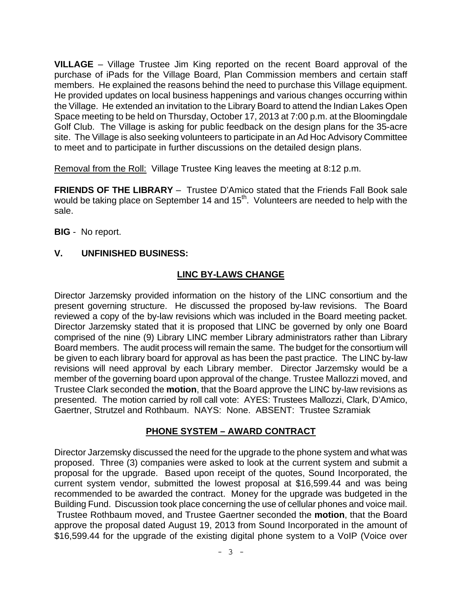**VILLAGE** – Village Trustee Jim King reported on the recent Board approval of the purchase of iPads for the Village Board, Plan Commission members and certain staff members. He explained the reasons behind the need to purchase this Village equipment. He provided updates on local business happenings and various changes occurring within the Village. He extended an invitation to the Library Board to attend the Indian Lakes Open Space meeting to be held on Thursday, October 17, 2013 at 7:00 p.m. at the Bloomingdale Golf Club. The Village is asking for public feedback on the design plans for the 35-acre site. The Village is also seeking volunteers to participate in an Ad Hoc Advisory Committee to meet and to participate in further discussions on the detailed design plans.

Removal from the Roll: Village Trustee King leaves the meeting at 8:12 p.m.

**FRIENDS OF THE LIBRARY** – Trustee D'Amico stated that the Friends Fall Book sale would be taking place on September 14 and 15<sup>th</sup>. Volunteers are needed to help with the sale.

**BIG** - No report.

## **V. UNFINISHED BUSINESS:**

### **LINC BY-LAWS CHANGE**

Director Jarzemsky provided information on the history of the LINC consortium and the present governing structure. He discussed the proposed by-law revisions. The Board reviewed a copy of the by-law revisions which was included in the Board meeting packet. Director Jarzemsky stated that it is proposed that LINC be governed by only one Board comprised of the nine (9) Library LINC member Library administrators rather than Library Board members. The audit process will remain the same. The budget for the consortium will be given to each library board for approval as has been the past practice. The LINC by-law revisions will need approval by each Library member. Director Jarzemsky would be a member of the governing board upon approval of the change. Trustee Mallozzi moved, and Trustee Clark seconded the **motion**, that the Board approve the LINC by-law revisions as presented. The motion carried by roll call vote: AYES: Trustees Mallozzi, Clark, D'Amico, Gaertner, Strutzel and Rothbaum. NAYS: None. ABSENT: Trustee Szramiak

## **PHONE SYSTEM – AWARD CONTRACT**

Director Jarzemsky discussed the need for the upgrade to the phone system and what was proposed. Three (3) companies were asked to look at the current system and submit a proposal for the upgrade. Based upon receipt of the quotes, Sound Incorporated, the current system vendor, submitted the lowest proposal at \$16,599.44 and was being recommended to be awarded the contract. Money for the upgrade was budgeted in the Building Fund. Discussion took place concerning the use of cellular phones and voice mail. Trustee Rothbaum moved, and Trustee Gaertner seconded the **motion**, that the Board approve the proposal dated August 19, 2013 from Sound Incorporated in the amount of \$16,599.44 for the upgrade of the existing digital phone system to a VoIP (Voice over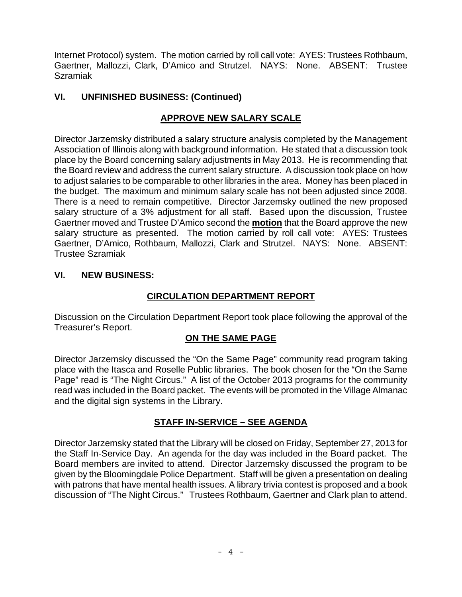Internet Protocol) system. The motion carried by roll call vote: AYES: Trustees Rothbaum, Gaertner, Mallozzi, Clark, D'Amico and Strutzel. NAYS: None. ABSENT: Trustee Szramiak

# **VI. UNFINISHED BUSINESS: (Continued)**

# **APPROVE NEW SALARY SCALE**

Director Jarzemsky distributed a salary structure analysis completed by the Management Association of Illinois along with background information. He stated that a discussion took place by the Board concerning salary adjustments in May 2013. He is recommending that the Board review and address the current salary structure. A discussion took place on how to adjust salaries to be comparable to other libraries in the area. Money has been placed in the budget. The maximum and minimum salary scale has not been adjusted since 2008. There is a need to remain competitive. Director Jarzemsky outlined the new proposed salary structure of a 3% adjustment for all staff. Based upon the discussion, Trustee Gaertner moved and Trustee D'Amico second the **motion** that the Board approve the new salary structure as presented. The motion carried by roll call vote: AYES: Trustees Gaertner, D'Amico, Rothbaum, Mallozzi, Clark and Strutzel. NAYS: None. ABSENT: Trustee Szramiak

# **VI. NEW BUSINESS:**

# **CIRCULATION DEPARTMENT REPORT**

Discussion on the Circulation Department Report took place following the approval of the Treasurer's Report.

# **ON THE SAME PAGE**

Director Jarzemsky discussed the "On the Same Page" community read program taking place with the Itasca and Roselle Public libraries. The book chosen for the "On the Same Page" read is "The Night Circus." A list of the October 2013 programs for the community read was included in the Board packet. The events will be promoted in the Village Almanac and the digital sign systems in the Library.

# **STAFF IN-SERVICE – SEE AGENDA**

Director Jarzemsky stated that the Library will be closed on Friday, September 27, 2013 for the Staff In-Service Day. An agenda for the day was included in the Board packet. The Board members are invited to attend. Director Jarzemsky discussed the program to be given by the Bloomingdale Police Department. Staff will be given a presentation on dealing with patrons that have mental health issues. A library trivia contest is proposed and a book discussion of "The Night Circus." Trustees Rothbaum, Gaertner and Clark plan to attend.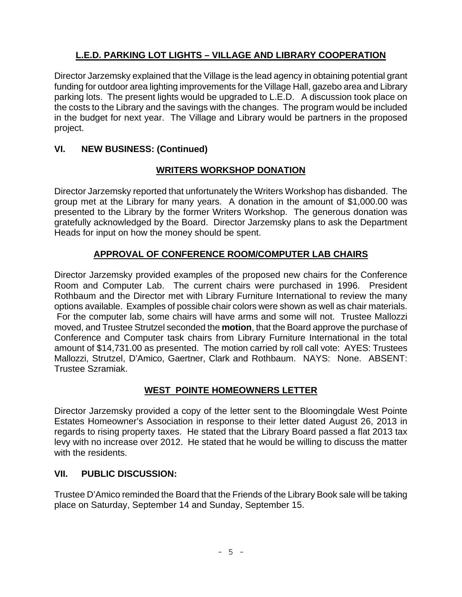# **L.E.D. PARKING LOT LIGHTS – VILLAGE AND LIBRARY COOPERATION**

Director Jarzemsky explained that the Village is the lead agency in obtaining potential grant funding for outdoor area lighting improvements for the Village Hall, gazebo area and Library parking lots. The present lights would be upgraded to L.E.D. A discussion took place on the costs to the Library and the savings with the changes. The program would be included in the budget for next year. The Village and Library would be partners in the proposed project.

## **VI. NEW BUSINESS: (Continued)**

# **WRITERS WORKSHOP DONATION**

Director Jarzemsky reported that unfortunately the Writers Workshop has disbanded. The group met at the Library for many years. A donation in the amount of \$1,000.00 was presented to the Library by the former Writers Workshop. The generous donation was gratefully acknowledged by the Board. Director Jarzemsky plans to ask the Department Heads for input on how the money should be spent.

# **APPROVAL OF CONFERENCE ROOM/COMPUTER LAB CHAIRS**

Director Jarzemsky provided examples of the proposed new chairs for the Conference Room and Computer Lab. The current chairs were purchased in 1996. President Rothbaum and the Director met with Library Furniture International to review the many options available. Examples of possible chair colors were shown as well as chair materials. For the computer lab, some chairs will have arms and some will not. Trustee Mallozzi moved, and Trustee Strutzel seconded the **motion**, that the Board approve the purchase of Conference and Computer task chairs from Library Furniture International in the total amount of \$14,731.00 as presented. The motion carried by roll call vote: AYES: Trustees Mallozzi, Strutzel, D'Amico, Gaertner, Clark and Rothbaum. NAYS: None. ABSENT: Trustee Szramiak.

## **WEST POINTE HOMEOWNERS LETTER**

Director Jarzemsky provided a copy of the letter sent to the Bloomingdale West Pointe Estates Homeowner's Association in response to their letter dated August 26, 2013 in regards to rising property taxes. He stated that the Library Board passed a flat 2013 tax levy with no increase over 2012. He stated that he would be willing to discuss the matter with the residents.

## **VII. PUBLIC DISCUSSION:**

Trustee D'Amico reminded the Board that the Friends of the Library Book sale will be taking place on Saturday, September 14 and Sunday, September 15.